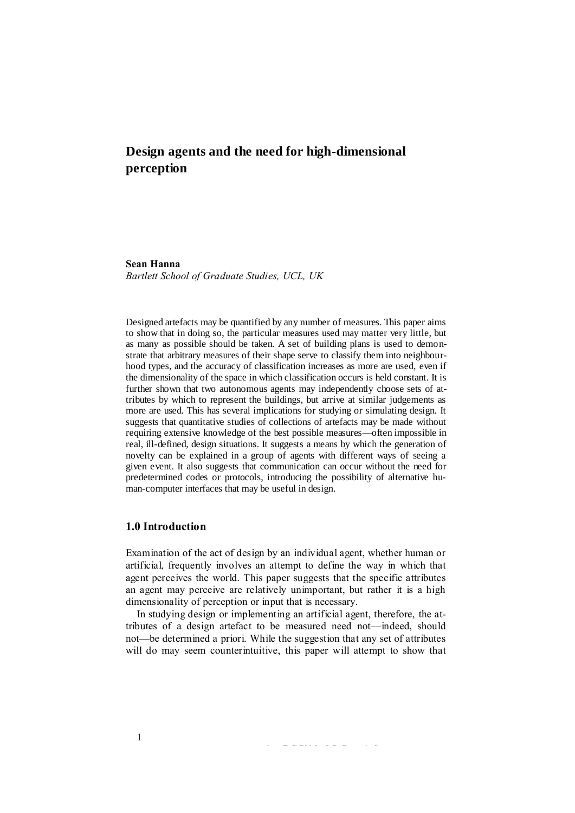# **Design agents and the need for high-dimensional perception**

**Sean Hanna** *Bartlett School of Graduate Studies, UCL, UK*

Designed artefacts may be quantified by any number of measures. This paper aims to show that in doing so, the particular measures used may matter very little, but as many as possible should be taken. A set of building plans is used to demonstrate that arbitrary measures of their shape serve to classify them into neighbourhood types, and the accuracy of classification increases as more are used, even if the dimensionality of the space in which classification occurs is held constant. It is further shown that two autonomous agents may independently choose sets of attributes by which to represent the buildings, but arrive at similar judgements as more are used. This has several implications for studying or simulating design. It suggests that quantitative studies of collections of artefacts may be made without requiring extensive knowledge of the best possible measures—often impossible in real, ill-defined, design situations. It suggests a means by which the generation of novelty can be explained in a group of agents with different ways of seeing a given event. It also suggests that communication can occur without the need for predetermined codes or protocols, introducing the possibility of alternative human-computer interfaces that may be useful in design.

# **1.0 Introduction**

Examination of the act of design by an individual agent, whether human or artificial, frequently involves an attempt to define the way in which that agent perceives the world. This paper suggests that the specific attributes an agent may perceive are relatively unimportant, but rather it is a high dimensionality of perception or input that is necessary.

In studying design or implementing an artificial agent, therefore, the attributes of a design artefact to be measured need not—indeed, should not—be determined a priori. While the suggestion that any set of attributes will do may seem counterintuitive, this paper will attempt to show that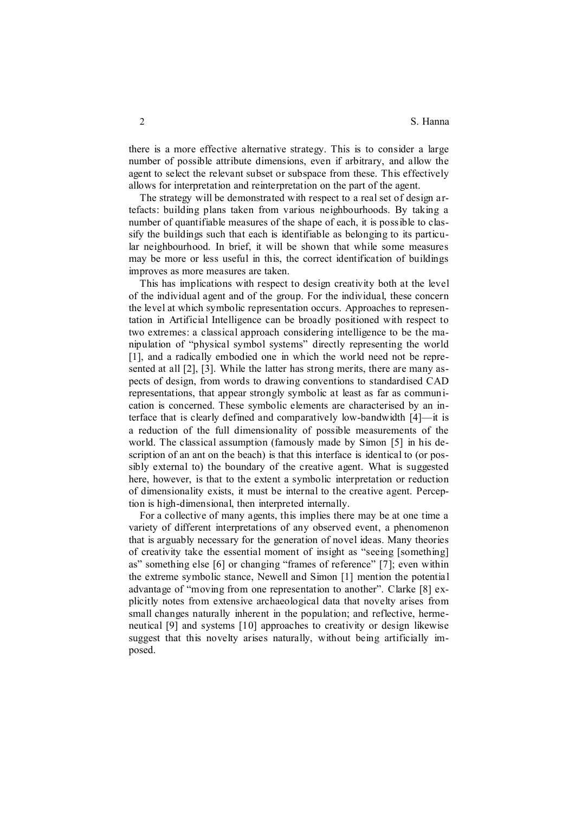there is a more effective alternative strategy. This is to consider a large number of possible attribute dimensions, even if arbitrary, and allow the agent to select the relevant subset or subspace from these. This effectively allows for interpretation and reinterpretation on the part of the agent.

The strategy will be demonstrated with respect to a real set of design artefacts: building plans taken from various neighbourhoods. By taking a number of quantifiable measures of the shape of each, it is possible to classify the buildings such that each is identifiable as belonging to its particular neighbourhood. In brief, it will be shown that while some measures may be more or less useful in this, the correct identification of buildings improves as more measures are taken.

This has implications with respect to design creativity both at the level of the individual agent and of the group. For the individual, these concern the level at which symbolic representation occurs. Approaches to representation in Artificial Intelligence can be broadly positioned with respect to two extremes: a classical approach considering intelligence to be the manipulation of "physical symbol systems" directly representing the world [1], and a radically embodied one in which the world need not be represented at all [2], [3]. While the latter has strong merits, there are many aspects of design, from words to drawing conventions to standardised CAD representations, that appear strongly symbolic at least as far as communication is concerned. These symbolic elements are characterised by an interface that is clearly defined and comparatively low-bandwidth [4]—it is a reduction of the full dimensionality of possible measurements of the world. The classical assumption (famously made by Simon [5] in his description of an ant on the beach) is that this interface is identical to (or possibly external to) the boundary of the creative agent. What is suggested here, however, is that to the extent a symbolic interpretation or reduction of dimensionality exists, it must be internal to the creative agent. Perception is high-dimensional, then interpreted internally.

For a collective of many agents, this implies there may be at one time a variety of different interpretations of any observed event, a phenomenon that is arguably necessary for the generation of novel ideas. Many theories of creativity take the essential moment of insight as "seeing [something] as" something else [6] or changing "frames of reference" [7]; even within the extreme symbolic stance, Newell and Simon [1] mention the potential advantage of "moving from one representation to another". Clarke [8] explicitly notes from extensive archaeological data that novelty arises from small changes naturally inherent in the population; and reflective, hermeneutical [9] and systems [10] approaches to creativity or design likewise suggest that this novelty arises naturally, without being artificially imposed.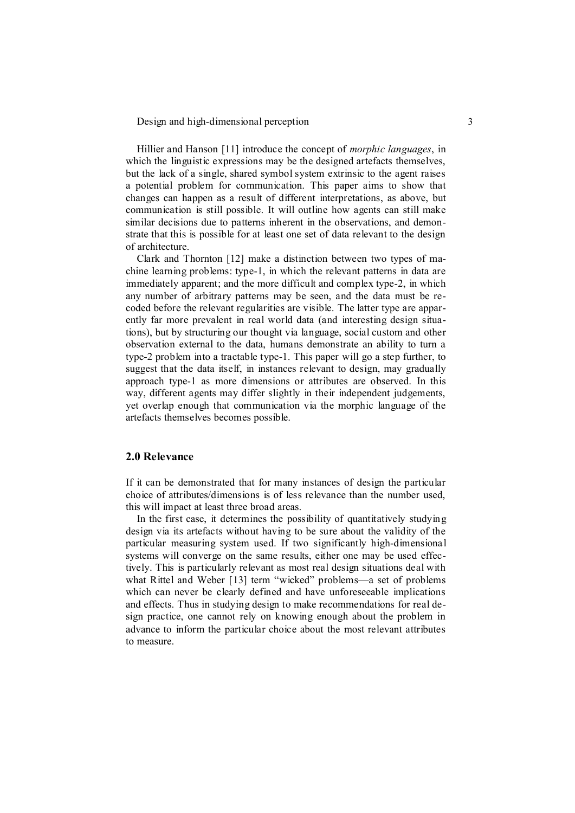Hillier and Hanson [11] introduce the concept of *morphic languages*, in which the linguistic expressions may be the designed artefacts themselves, but the lack of a single, shared symbol system extrinsic to the agent raises a potential problem for communication. This paper aims to show that changes can happen as a result of different interpretations, as above, but communication is still possible. It will outline how agents can still make similar decisions due to patterns inherent in the observations, and demonstrate that this is possible for at least one set of data relevant to the design of architecture.

Clark and Thornton [12] make a distinction between two types of machine learning problems: type-1, in which the relevant patterns in data are immediately apparent; and the more difficult and complex type-2, in which any number of arbitrary patterns may be seen, and the data must be recoded before the relevant regularities are visible. The latter type are apparently far more prevalent in real world data (and interesting design situations), but by structuring our thought via language, social custom and other observation external to the data, humans demonstrate an ability to turn a type-2 problem into a tractable type-1. This paper will go a step further, to suggest that the data itself, in instances relevant to design, may gradually approach type-1 as more dimensions or attributes are observed. In this way, different agents may differ slightly in their independent judgements, yet overlap enough that communication via the morphic language of the artefacts themselves becomes possible.

# **2.0 Relevance**

If it can be demonstrated that for many instances of design the particular choice of attributes/dimensions is of less relevance than the number used, this will impact at least three broad areas.

In the first case, it determines the possibility of quantitatively studying design via its artefacts without having to be sure about the validity of the particular measuring system used. If two significantly high-dimensional systems will converge on the same results, either one may be used effectively. This is particularly relevant as most real design situations deal with what Rittel and Weber [13] term "wicked" problems—a set of problems which can never be clearly defined and have unforeseeable implications and effects. Thus in studying design to make recommendations for real design practice, one cannot rely on knowing enough about the problem in advance to inform the particular choice about the most relevant attributes to measure.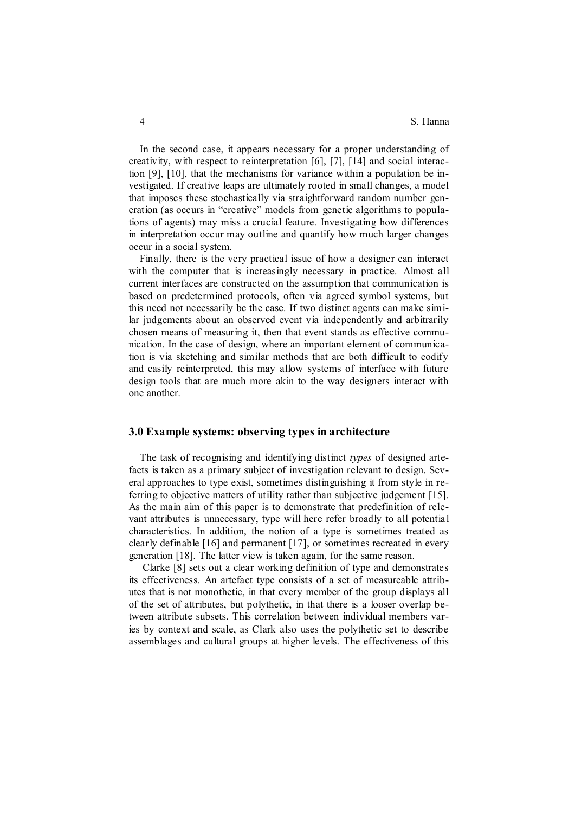In the second case, it appears necessary for a proper understanding of creativity, with respect to reinterpretation [6], [7], [14] and social interaction [9], [10], that the mechanisms for variance within a population be investigated. If creative leaps are ultimately rooted in small changes, a model that imposes these stochastically via straightforward random number generation (as occurs in "creative" models from genetic algorithms to populations of agents) may miss a crucial feature. Investigating how differences in interpretation occur may outline and quantify how much larger changes occur in a social system.

Finally, there is the very practical issue of how a designer can interact with the computer that is increasingly necessary in practice. Almost all current interfaces are constructed on the assumption that communication is based on predetermined protocols, often via agreed symbol systems, but this need not necessarily be the case. If two distinct agents can make similar judgements about an observed event via independently and arbitrarily chosen means of measuring it, then that event stands as effective communication. In the case of design, where an important element of communication is via sketching and similar methods that are both difficult to codify and easily reinterpreted, this may allow systems of interface with future design tools that are much more akin to the way designers interact with one another.

#### **3.0 Example systems: observing types in architecture**

The task of recognising and identifying distinct *types* of designed artefacts is taken as a primary subject of investigation relevant to design. Several approaches to type exist, sometimes distinguishing it from style in referring to objective matters of utility rather than subjective judgement [15]. As the main aim of this paper is to demonstrate that predefinition of relevant attributes is unnecessary, type will here refer broadly to all potential characteristics. In addition, the notion of a type is sometimes treated as clearly definable [16] and permanent [17], or sometimes recreated in every generation [18]. The latter view is taken again, for the same reason.

Clarke [8] sets out a clear working definition of type and demonstrates its effectiveness. An artefact type consists of a set of measureable attributes that is not monothetic, in that every member of the group displays all of the set of attributes, but polythetic, in that there is a looser overlap between attribute subsets. This correlation between individual members varies by context and scale, as Clark also uses the polythetic set to describe assemblages and cultural groups at higher levels. The effectiveness of this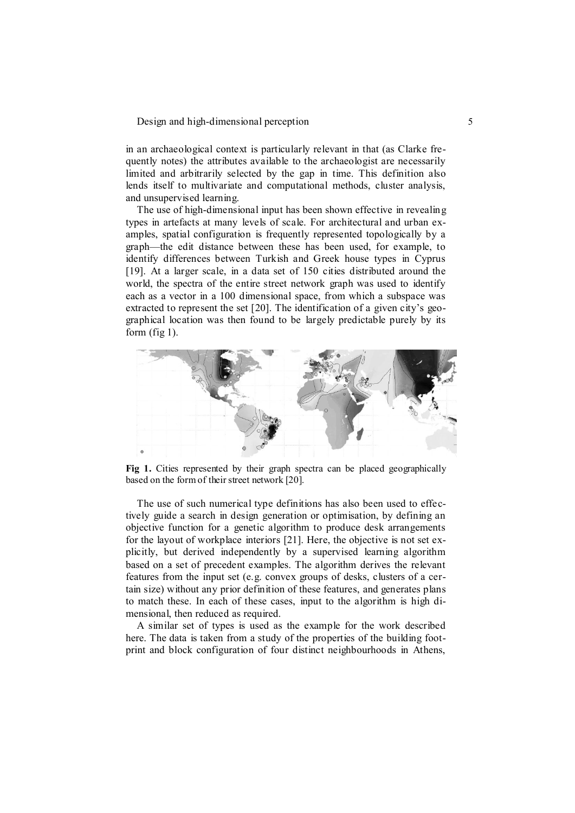in an archaeological context is particularly relevant in that (as Clarke frequently notes) the attributes available to the archaeologist are necessarily limited and arbitrarily selected by the gap in time. This definition also lends itself to multivariate and computational methods, cluster analysis, and unsupervised learning.

The use of high-dimensional input has been shown effective in revealing types in artefacts at many levels of scale. For architectural and urban examples, spatial configuration is frequently represented topologically by a graph—the edit distance between these has been used, for example, to identify differences between Turkish and Greek house types in Cyprus [19]. At a larger scale, in a data set of 150 cities distributed around the world, the spectra of the entire street network graph was used to identify each as a vector in a 100 dimensional space, from which a subspace was extracted to represent the set [20]. The identification of a given city's geographical location was then found to be largely predictable purely by its form (fig 1).



**Fig 1.** Cities represented by their graph spectra can be placed geographically based on the form of their street network [20].

The use of such numerical type definitions has also been used to effectively guide a search in design generation or optimisation, by defining an objective function for a genetic algorithm to produce desk arrangements for the layout of workplace interiors [21]. Here, the objective is not set explicitly, but derived independently by a supervised learning algorithm based on a set of precedent examples. The algorithm derives the relevant features from the input set (e.g. convex groups of desks, clusters of a certain size) without any prior definition of these features, and generates plans to match these. In each of these cases, input to the algorithm is high dimensional, then reduced as required.

A similar set of types is used as the example for the work described here. The data is taken from a study of the properties of the building footprint and block configuration of four distinct neighbourhoods in Athens,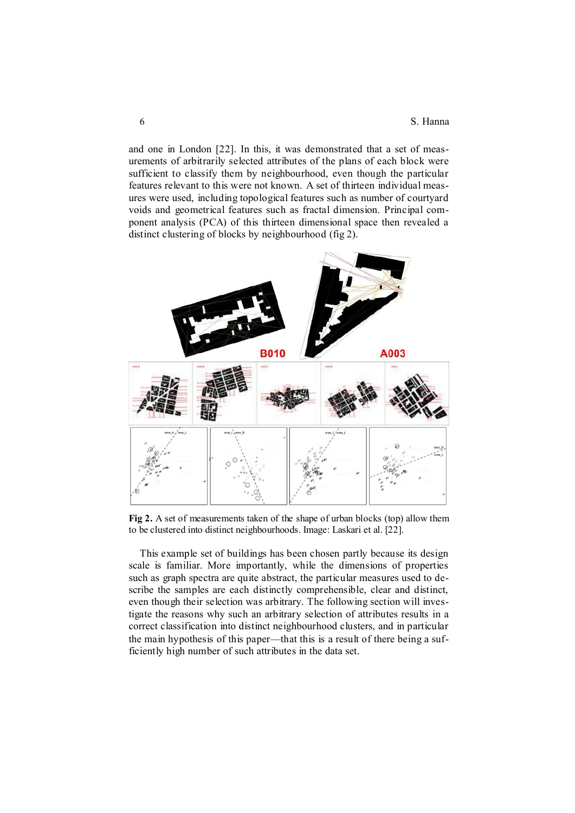and one in London [22]. In this, it was demonstrated that a set of measurements of arbitrarily selected attributes of the plans of each block were sufficient to classify them by neighbourhood, even though the particular features relevant to this were not known. A set of thirteen individual measures were used, including topological features such as number of courtyard voids and geometrical features such as fractal dimension. Principal component analysis (PCA) of this thirteen dimensional space then revealed a distinct clustering of blocks by neighbourhood (fig 2).



**Fig 2.** A set of measurements taken of the shape of urban blocks (top) allow them to be clustered into distinct neighbourhoods. Image: Laskari et al. [22].

This example set of buildings has been chosen partly because its design scale is familiar. More importantly, while the dimensions of properties such as graph spectra are quite abstract, the particular measures used to describe the samples are each distinctly comprehensible, clear and distinct, even though their selection was arbitrary. The following section will investigate the reasons why such an arbitrary selection of attributes results in a correct classification into distinct neighbourhood clusters, and in particular the main hypothesis of this paper—that this is a result of there being a sufficiently high number of such attributes in the data set.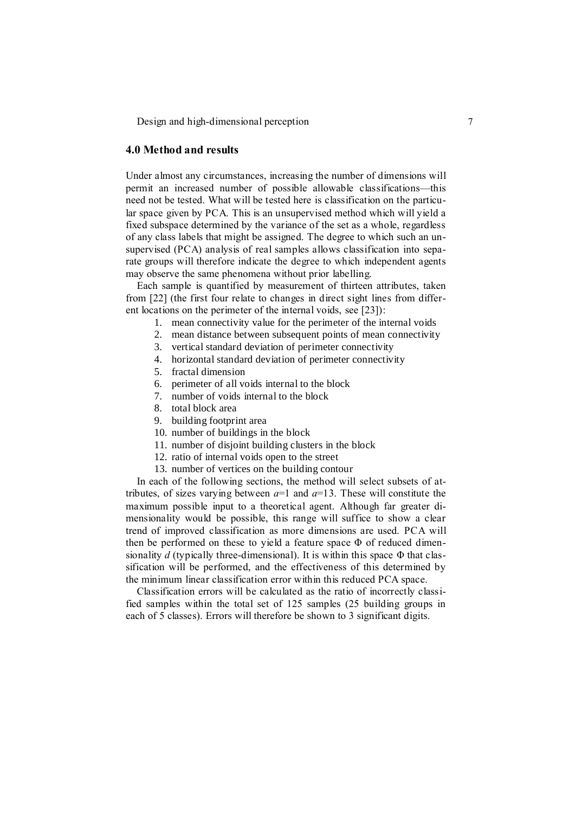# **4.0 Method and results**

Under almost any circumstances, increasing the number of dimensions will permit an increased number of possible allowable classifications—this need not be tested. What will be tested here is classification on the particular space given by PCA. This is an unsupervised method which will yield a fixed subspace determined by the variance of the set as a whole, regardless of any class labels that might be assigned. The degree to which such an unsupervised (PCA) analysis of real samples allows classification into separate groups will therefore indicate the degree to which independent agents may observe the same phenomena without prior labelling.

Each sample is quantified by measurement of thirteen attributes, taken from [22] (the first four relate to changes in direct sight lines from different locations on the perimeter of the internal voids, see [23]):

- 1. mean connectivity value for the perimeter of the internal voids
- 2. mean distance between subsequent points of mean connectivity
- 3. vertical standard deviation of perimeter connectivity
- 4. horizontal standard deviation of perimeter connectivity
- 5. fractal dimension
- 6. perimeter of all voids internal to the block
- 7. number of voids internal to the block
- 8. total block area
- 9. building footprint area
- 10. number of buildings in the block
- 11. number of disjoint building clusters in the block
- 12. ratio of internal voids open to the street
- 13. number of vertices on the building contour

In each of the following sections, the method will select subsets of attributes, of sizes varying between  $a=1$  and  $a=13$ . These will constitute the maximum possible input to a theoretical agent. Although far greater dimensionality would be possible, this range will suffice to show a clear trend of improved classification as more dimensions are used. PCA will then be performed on these to yield a feature space Φ of reduced dimensionality  $d$  (typically three-dimensional). It is within this space  $\Phi$  that classification will be performed, and the effectiveness of this determined by the minimum linear classification error within this reduced PCA space.

Classification errors will be calculated as the ratio of incorrectly classified samples within the total set of 125 samples (25 building groups in each of 5 classes). Errors will therefore be shown to 3 significant digits.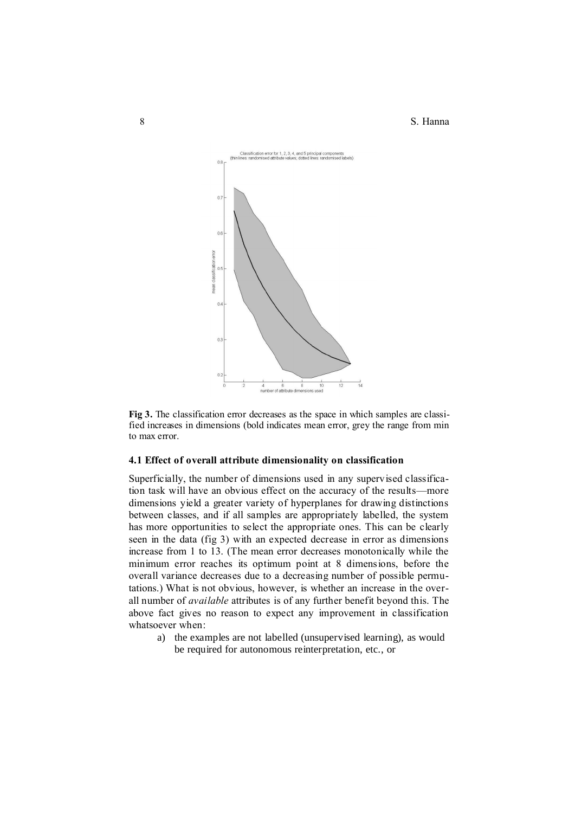8 S. Hanna



**Fig 3.** The classification error decreases as the space in which samples are classified increases in dimensions (bold indicates mean error, grey the range from min to max error.

#### **4.1 Effect of overall attribute dimensionality on classification**

Superficially, the number of dimensions used in any supervised classification task will have an obvious effect on the accuracy of the results—more dimensions yield a greater variety of hyperplanes for drawing distinctions between classes, and if all samples are appropriately labelled, the system has more opportunities to select the appropriate ones. This can be clearly seen in the data (fig 3) with an expected decrease in error as dimensions increase from 1 to 13. (The mean error decreases monotonically while the minimum error reaches its optimum point at 8 dimensions, before the overall variance decreases due to a decreasing number of possible permutations.) What is not obvious, however, is whether an increase in the overall number of *available* attributes is of any further benefit beyond this. The above fact gives no reason to expect any improvement in classification whatsoever when:

a) the examples are not labelled (unsupervised learning), as would be required for autonomous reinterpretation, etc., or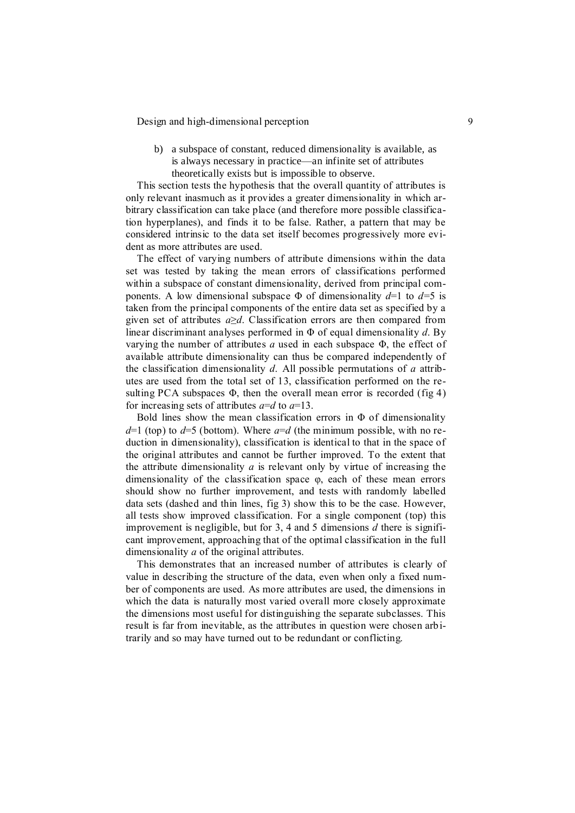b) a subspace of constant, reduced dimensionality is available, as is always necessary in practice—an infinite set of attributes theoretically exists but is impossible to observe.

This section tests the hypothesis that the overall quantity of attributes is only relevant inasmuch as it provides a greater dimensionality in which arbitrary classification can take place (and therefore more possible classification hyperplanes), and finds it to be false. Rather, a pattern that may be considered intrinsic to the data set itself becomes progressively more evident as more attributes are used.

The effect of varying numbers of attribute dimensions within the data set was tested by taking the mean errors of classifications performed within a subspace of constant dimensionality, derived from principal components. A low dimensional subspace  $\Phi$  of dimensionality  $d=1$  to  $d=5$  is taken from the principal components of the entire data set as specified by a given set of attributes *a*≥*d*. Classification errors are then compared from linear discriminant analyses performed in Φ of equal dimensionality *d*. By varying the number of attributes *a* used in each subspace Φ, the effect of available attribute dimensionality can thus be compared independently of the classification dimensionality *d*. All possible permutations of *a* attributes are used from the total set of 13, classification performed on the resulting PCA subspaces  $\Phi$ , then the overall mean error is recorded (fig 4) for increasing sets of attributes  $a=d$  to  $a=13$ .

Bold lines show the mean classification errors in  $\Phi$  of dimensionality  $d=1$  (top) to  $d=5$  (bottom). Where  $a=d$  (the minimum possible, with no reduction in dimensionality), classification is identical to that in the space of the original attributes and cannot be further improved. To the extent that the attribute dimensionality *a* is relevant only by virtue of increasing the dimensionality of the classification space φ, each of these mean errors should show no further improvement, and tests with randomly labelled data sets (dashed and thin lines, fig 3) show this to be the case. However, all tests show improved classification. For a single component (top) this improvement is negligible, but for 3, 4 and 5 dimensions *d* there is significant improvement, approaching that of the optimal classification in the full dimensionality *a* of the original attributes.

This demonstrates that an increased number of attributes is clearly of value in describing the structure of the data, even when only a fixed number of components are used. As more attributes are used, the dimensions in which the data is naturally most varied overall more closely approximate the dimensions most useful for distinguishing the separate subclasses. This result is far from inevitable, as the attributes in question were chosen arbitrarily and so may have turned out to be redundant or conflicting.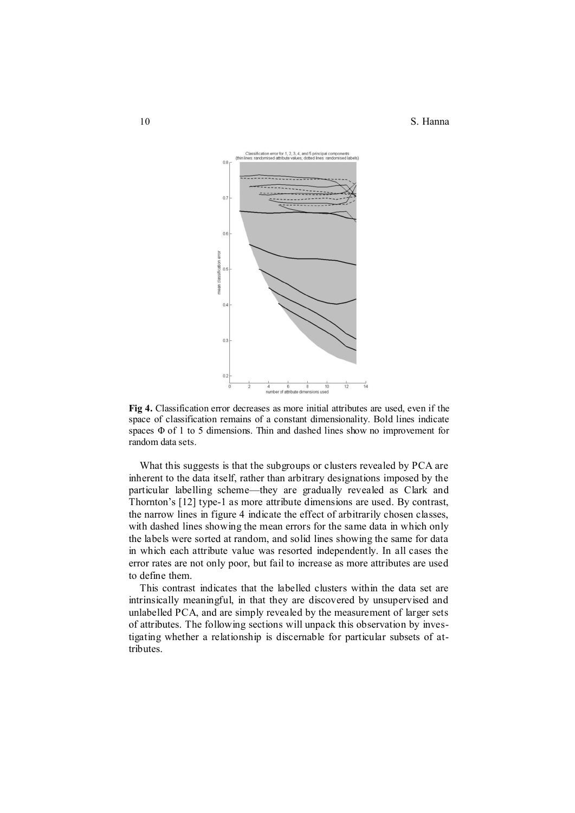10 S. Hanna



**Fig 4.** Classification error decreases as more initial attributes are used, even if the space of classification remains of a constant dimensionality. Bold lines indicate spaces Φ of 1 to 5 dimensions. Thin and dashed lines show no improvement for random data sets.

What this suggests is that the subgroups or clusters revealed by PCA are inherent to the data itself, rather than arbitrary designations imposed by the particular labelling scheme—they are gradually revealed as Clark and Thornton's [12] type-1 as more attribute dimensions are used. By contrast, the narrow lines in figure 4 indicate the effect of arbitrarily chosen classes, with dashed lines showing the mean errors for the same data in which only the labels were sorted at random, and solid lines showing the same for data in which each attribute value was resorted independently. In all cases the error rates are not only poor, but fail to increase as more attributes are used to define them.

This contrast indicates that the labelled clusters within the data set are intrinsically meaningful, in that they are discovered by unsupervised and unlabelled PCA, and are simply revealed by the measurement of larger sets of attributes. The following sections will unpack this observation by investigating whether a relationship is discernable for particular subsets of attributes.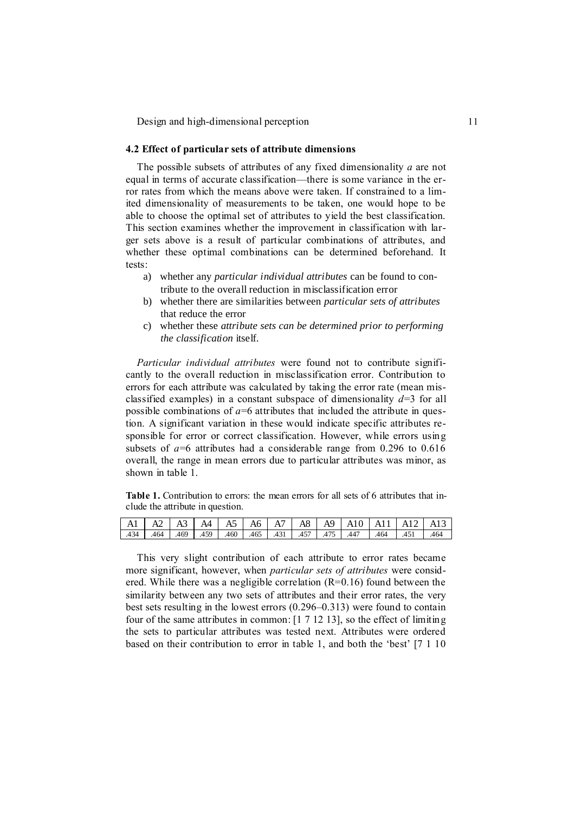#### **4.2 Effect of particular sets of attribute dimensions**

The possible subsets of attributes of any fixed dimensionality *a* are not equal in terms of accurate classification—there is some variance in the error rates from which the means above were taken. If constrained to a limited dimensionality of measurements to be taken, one would hope to be able to choose the optimal set of attributes to yield the best classification. This section examines whether the improvement in classification with larger sets above is a result of particular combinations of attributes, and whether these optimal combinations can be determined beforehand. It tests:

- a) whether any *particular individual attributes* can be found to contribute to the overall reduction in misclassification error
- b) whether there are similarities between *particular sets of attributes* that reduce the error
- c) whether these *attribute sets can be determined prior to performing the classification* itself.

*Particular individual attributes* were found not to contribute significantly to the overall reduction in misclassification error. Contribution to errors for each attribute was calculated by taking the error rate (mean misclassified examples) in a constant subspace of dimensionality *d*=3 for all possible combinations of *a*=6 attributes that included the attribute in question. A significant variation in these would indicate specific attributes responsible for error or correct classification. However, while errors using subsets of  $a=6$  attributes had a considerable range from  $0.296$  to  $0.616$ overall, the range in mean errors due to particular attributes was minor, as shown in table 1.

**Table 1.** Contribution to errors: the mean errors for all sets of 6 attributes that include the attribute in question.

|  |  |  |  | 451   464   465   475   475   475   475   476   479   479   484   484   484   484   484   495   49 |  |  |
|--|--|--|--|----------------------------------------------------------------------------------------------------|--|--|

This very slight contribution of each attribute to error rates became more significant, however, when *particular sets of attributes* were considered. While there was a negligible correlation  $(R=0.16)$  found between the similarity between any two sets of attributes and their error rates, the very best sets resulting in the lowest errors (0.296–0.313) were found to contain four of the same attributes in common: [1 7 12 13], so the effect of limiting the sets to particular attributes was tested next. Attributes were ordered based on their contribution to error in table 1, and both the 'best'  $[7 \ 1 \ 10]$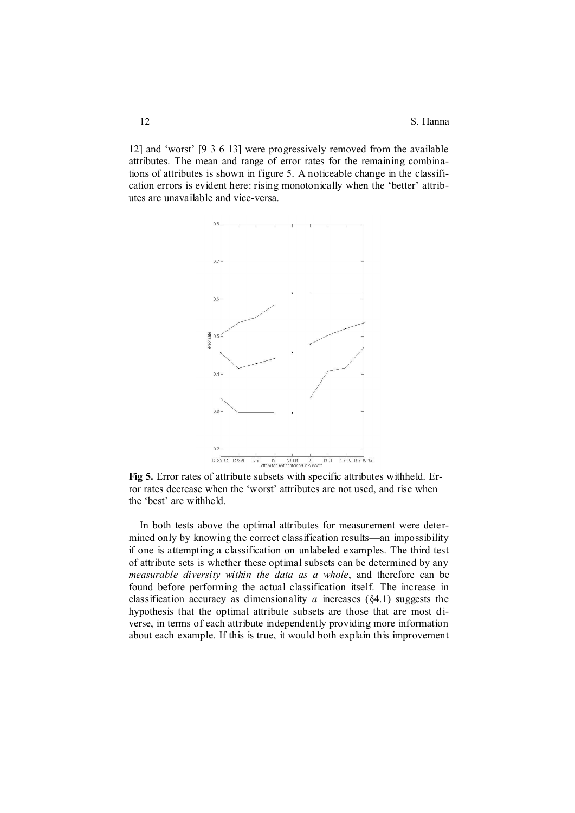12] and ‗worst' [9 3 6 13] were progressively removed from the available attributes. The mean and range of error rates for the remaining combinations of attributes is shown in figure 5. A noticeable change in the classification errors is evident here: rising monotonically when the 'better' attributes are unavailable and vice-versa.



**Fig 5.** Error rates of attribute subsets with specific attributes withheld. Error rates decrease when the 'worst' attributes are not used, and rise when the 'best' are withheld.

In both tests above the optimal attributes for measurement were determined only by knowing the correct classification results—an impossibility if one is attempting a classification on unlabeled examples. The third test of attribute sets is whether these optimal subsets can be determined by any *measurable diversity within the data as a whole*, and therefore can be found before performing the actual classification itself. The increase in classification accuracy as dimensionality *a* increases (§4.1) suggests the hypothesis that the optimal attribute subsets are those that are most diverse, in terms of each attribute independently providing more information about each example. If this is true, it would both explain this improvement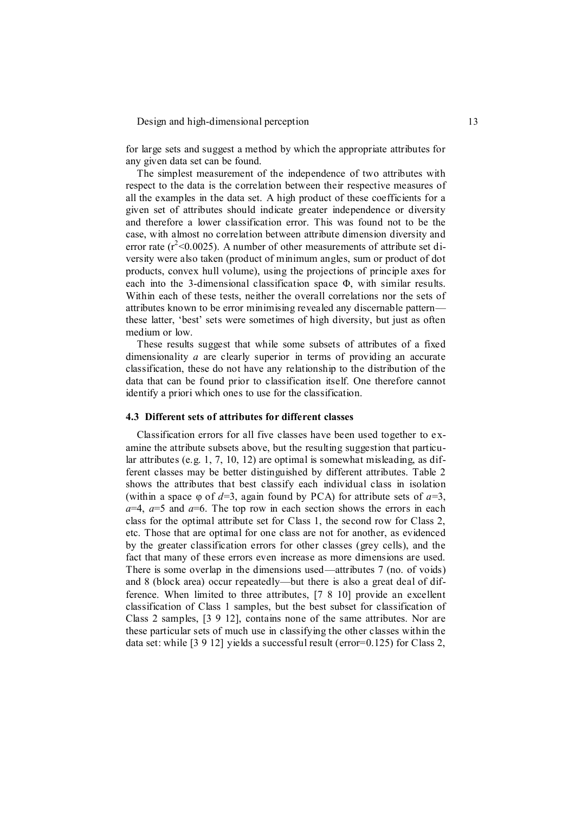for large sets and suggest a method by which the appropriate attributes for any given data set can be found.

The simplest measurement of the independence of two attributes with respect to the data is the correlation between their respective measures of all the examples in the data set. A high product of these coefficients for a given set of attributes should indicate greater independence or diversity and therefore a lower classification error. This was found not to be the case, with almost no correlation between attribute dimension diversity and error rate ( $r^2$  < 0.0025). A number of other measurements of attribute set diversity were also taken (product of minimum angles, sum or product of dot products, convex hull volume), using the projections of principle axes for each into the 3-dimensional classification space  $\Phi$ , with similar results. Within each of these tests, neither the overall correlations nor the sets of attributes known to be error minimising revealed any discernable pattern these latter, 'best' sets were sometimes of high diversity, but just as often medium or low.

These results suggest that while some subsets of attributes of a fixed dimensionality *a* are clearly superior in terms of providing an accurate classification, these do not have any relationship to the distribution of the data that can be found prior to classification itself. One therefore cannot identify a priori which ones to use for the classification.

#### **4.3 Different sets of attributes for different classes**

Classification errors for all five classes have been used together to examine the attribute subsets above, but the resulting suggestion that particular attributes (e.g. 1, 7, 10, 12) are optimal is somewhat misleading, as different classes may be better distinguished by different attributes. Table 2 shows the attributes that best classify each individual class in isolation (within a space  $\varphi$  of  $d=3$ , again found by PCA) for attribute sets of  $a=3$ ,  $a=4$ ,  $a=5$  and  $a=6$ . The top row in each section shows the errors in each class for the optimal attribute set for Class 1, the second row for Class 2, etc. Those that are optimal for one class are not for another, as evidenced by the greater classification errors for other classes (grey cells), and the fact that many of these errors even increase as more dimensions are used. There is some overlap in the dimensions used—attributes 7 (no. of voids) and 8 (block area) occur repeatedly—but there is also a great deal of difference. When limited to three attributes, [7 8 10] provide an excellent classification of Class 1 samples, but the best subset for classification of Class 2 samples, [3 9 12], contains none of the same attributes. Nor are these particular sets of much use in classifying the other classes within the data set: while [3 9 12] yields a successful result (error=0.125) for Class 2,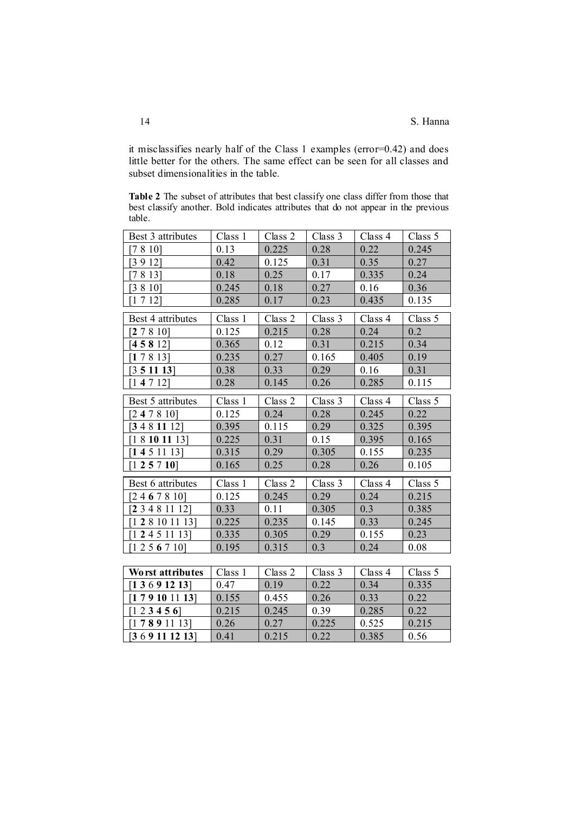it misclassifies nearly half of the Class 1 examples (error=0.42) and does little better for the others. The same effect can be seen for all classes and subset dimensionalities in the table.

**Table 2** The subset of attributes that best classify one class differ from those that best classify another. Bold indicates attributes that do not appear in the previous table.

| Best 3 attributes                               | Class 1 | Class 2 | Class 3 | Class 4 | Class 5 |  |  |
|-------------------------------------------------|---------|---------|---------|---------|---------|--|--|
| [7810]                                          | 0.13    | 0.225   | 0.28    | 0.22    | 0.245   |  |  |
| [3912]                                          | 0.42    | 0.125   | 0.31    | 0.35    | 0.27    |  |  |
| [7813]                                          | 0.18    | 0.25    | 0.17    | 0.335   | 0.24    |  |  |
| [3 8 10]                                        | 0.245   | 0.18    | 0.27    | 0.16    | 0.36    |  |  |
| [1 7 12]                                        | 0.285   | 0.17    | 0.23    | 0.435   | 0.135   |  |  |
| Best 4 attributes                               | Class 1 | Class 2 | Class 3 | Class 4 | Class 5 |  |  |
| [2 7 8 10]                                      | 0.125   | 0.215   | 0.28    | 0.24    | 0.2     |  |  |
| [45812]                                         | 0.365   | 0.12    | 0.31    | 0.215   | 0.34    |  |  |
| [1 7 8 13]                                      | 0.235   | 0.27    | 0.165   | 0.405   | 0.19    |  |  |
| $\begin{bmatrix} 3 & 5 & 11 & 13 \end{bmatrix}$ | 0.38    | 0.33    | 0.29    | 0.16    | 0.31    |  |  |
| [1 4 7 12]                                      | 0.28    | 0.145   | 0.26    | 0.285   | 0.115   |  |  |
|                                                 |         |         |         |         |         |  |  |
| Best 5 attributes                               | Class 1 | Class 2 | Class 3 | Class 4 | Class 5 |  |  |
| [2 4 7 8 10]                                    | 0.125   | 0.24    | 0.28    | 0.245   | 0.22    |  |  |
| [3481112]                                       | 0.395   | 0.115   | 0.29    | 0.325   | 0.395   |  |  |
| [1 8 10 11 13]                                  | 0.225   | 0.31    | 0.15    | 0.395   | 0.165   |  |  |
| [1 4 5 11 13]                                   | 0.315   | 0.29    | 0.305   | 0.155   | 0.235   |  |  |
| [1 2 5 7 10]                                    | 0.165   | 0.25    | 0.28    | 0.26    | 0.105   |  |  |
| Best 6 attributes                               | Class 1 | Class 2 | Class 3 | Class 4 | Class 5 |  |  |
| [2467810]                                       | 0.125   | 0.245   | 0.29    | 0.24    | 0.215   |  |  |
|                                                 | 0.33    |         | 0.305   | 0.3     |         |  |  |
| [23481112]                                      |         | 0.11    |         |         | 0.385   |  |  |
| [1 2 8 10 11 13]                                | 0.225   | 0.235   | 0.145   | 0.33    | 0.245   |  |  |
| [1 2 4 5 1 1 13]                                | 0.335   | 0.305   | 0.29    | 0.155   | 0.23    |  |  |
| [1 2 5 6 7 10]                                  | 0.195   | 0.315   | 0.3     | 0.24    | 0.08    |  |  |
|                                                 |         |         |         |         |         |  |  |
| Worst attributes                                | Class 1 | Class 2 | Class 3 | Class 4 | Class 5 |  |  |
| [13691213]                                      | 0.47    | 0.19    | 0.22    | 0.34    | 0.335   |  |  |

| Wo rst attributes    | Class 1 | Class 2 | Class 3 | Class 4 | Class 5 |
|----------------------|---------|---------|---------|---------|---------|
| [13691213]           | 0.47    | 0.19    | 0.22    | 0.34    | 0.335   |
| [179101113]          | 0.155   | 0.455   | 0.26    | 0.33    | 0.22    |
| $[1\ 2\ 3\ 4\ 5\ 6]$ | 0.215   | 0.245   | 0.39    | 0.285   | 0.22    |
| [17891113]           | 0.26    | 0.27    | 0.225   | 0.525   | 0.215   |
| [369111213]          | 0.41    | 0.215   | 0.22    | 0.385   | 0.56    |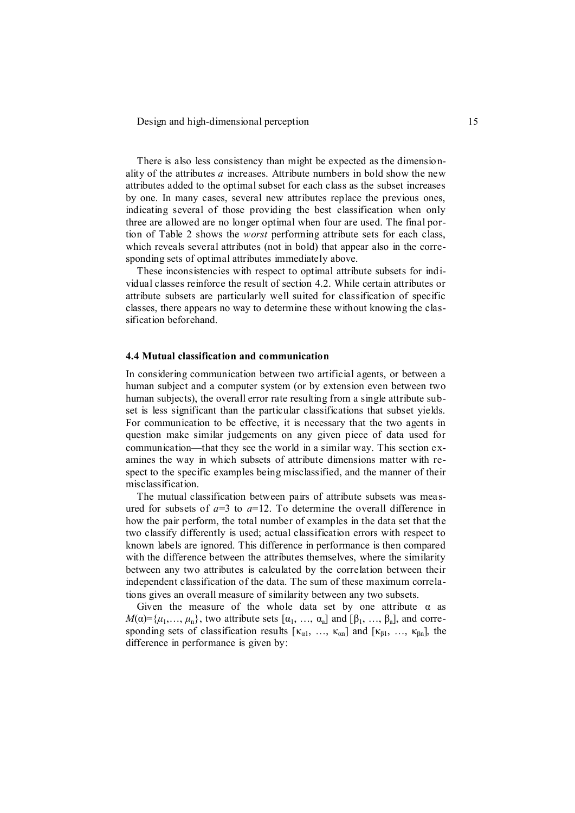There is also less consistency than might be expected as the dimensionality of the attributes *a* increases. Attribute numbers in bold show the new attributes added to the optimal subset for each class as the subset increases by one. In many cases, several new attributes replace the previous ones, indicating several of those providing the best classification when only three are allowed are no longer optimal when four are used. The final portion of Table 2 shows the *worst* performing attribute sets for each class, which reveals several attributes (not in bold) that appear also in the corresponding sets of optimal attributes immediately above.

These inconsistencies with respect to optimal attribute subsets for individual classes reinforce the result of section 4.2. While certain attributes or attribute subsets are particularly well suited for classification of specific classes, there appears no way to determine these without knowing the classification beforehand.

### **4.4 Mutual classification and communication**

In considering communication between two artificial agents, or between a human subject and a computer system (or by extension even between two human subjects), the overall error rate resulting from a single attribute subset is less significant than the particular classifications that subset yields. For communication to be effective, it is necessary that the two agents in question make similar judgements on any given piece of data used for communication—that they see the world in a similar way. This section examines the way in which subsets of attribute dimensions matter with respect to the specific examples being misclassified, and the manner of their misclassification.

The mutual classification between pairs of attribute subsets was measured for subsets of  $a=3$  to  $a=12$ . To determine the overall difference in how the pair perform, the total number of examples in the data set that the two classify differently is used; actual classification errors with respect to known labels are ignored. This difference in performance is then compared with the difference between the attributes themselves, where the similarity between any two attributes is calculated by the correlation between their independent classification of the data. The sum of these maximum correlations gives an overall measure of similarity between any two subsets.

Given the measure of the whole data set by one attribute  $\alpha$  as  $M(\alpha) = {\mu_1, \ldots, \mu_n}$ , two attribute sets  $[\alpha_1, \ldots, \alpha_a]$  and  $[\beta_1, \ldots, \beta_a]$ , and corresponding sets of classification results  $[\kappa_{\alpha 1}, ..., \kappa_{\alpha n}]$  and  $[\kappa_{\beta 1}, ..., \kappa_{\beta n}]$ , the difference in performance is given by: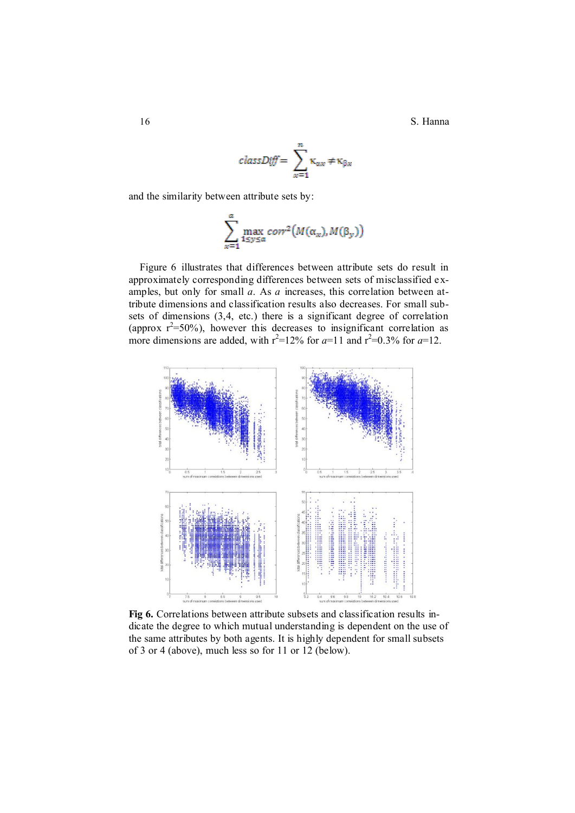16 S. Hanna

$$
\textit{classDiff} = \ \sum_{\alpha=1}^n \kappa_{\alpha \alpha} \neq \kappa_{\beta \alpha}
$$

and the similarity between attribute sets by:

$$
\sum_{x=1}^{a} \max_{1 \le y \le a} corr^2(M(\alpha_x), M(\beta_y))
$$

Figure 6 illustrates that differences between attribute sets do result in approximately corresponding differences between sets of misclassified examples, but only for small *a*. As *a* increases, this correlation between attribute dimensions and classification results also decreases. For small subsets of dimensions (3,4, etc.) there is a significant degree of correlation (approx  $r^2 = 50\%$ ), however this decreases to insignificant correlation as more dimensions are added, with  $r^2 = 12\%$  for  $a=11$  and  $r^2 = 0.3\%$  for  $a=12$ .



**Fig 6.** Correlations between attribute subsets and classification results indicate the degree to which mutual understanding is dependent on the use of the same attributes by both agents. It is highly dependent for small subsets of 3 or 4 (above), much less so for 11 or 12 (below).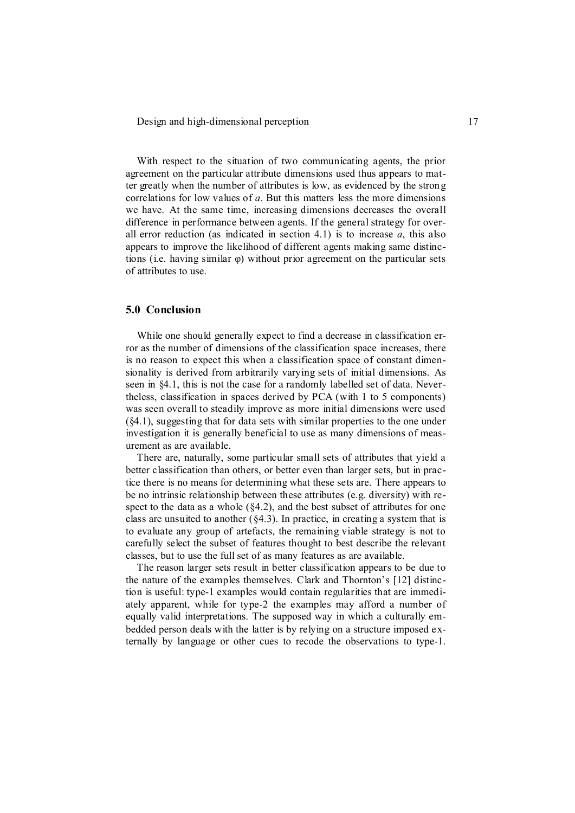With respect to the situation of two communicating agents, the prior agreement on the particular attribute dimensions used thus appears to matter greatly when the number of attributes is low, as evidenced by the strong correlations for low values of *a*. But this matters less the more dimensions we have. At the same time, increasing dimensions decreases the overall difference in performance between agents. If the general strategy for overall error reduction (as indicated in section 4.1) is to increase *a*, this also appears to improve the likelihood of different agents making same distinctions (i.e. having similar φ) without prior agreement on the particular sets of attributes to use.

# **5.0 Conclusion**

While one should generally expect to find a decrease in classification error as the number of dimensions of the classification space increases, there is no reason to expect this when a classification space of constant dimensionality is derived from arbitrarily varying sets of initial dimensions. As seen in §4.1, this is not the case for a randomly labelled set of data. Nevertheless, classification in spaces derived by PCA (with 1 to 5 components) was seen overall to steadily improve as more initial dimensions were used (§4.1), suggesting that for data sets with similar properties to the one under investigation it is generally beneficial to use as many dimensions of measurement as are available.

There are, naturally, some particular small sets of attributes that yield a better classification than others, or better even than larger sets, but in practice there is no means for determining what these sets are. There appears to be no intrinsic relationship between these attributes (e.g. diversity) with respect to the data as a whole  $(\S4.2)$ , and the best subset of attributes for one class are unsuited to another (§4.3). In practice, in creating a system that is to evaluate any group of artefacts, the remaining viable strategy is not to carefully select the subset of features thought to best describe the relevant classes, but to use the full set of as many features as are available.

The reason larger sets result in better classification appears to be due to the nature of the examples themselves. Clark and Thornton's [12] distinction is useful: type-1 examples would contain regularities that are immediately apparent, while for type-2 the examples may afford a number of equally valid interpretations. The supposed way in which a culturally embedded person deals with the latter is by relying on a structure imposed externally by language or other cues to recode the observations to type-1.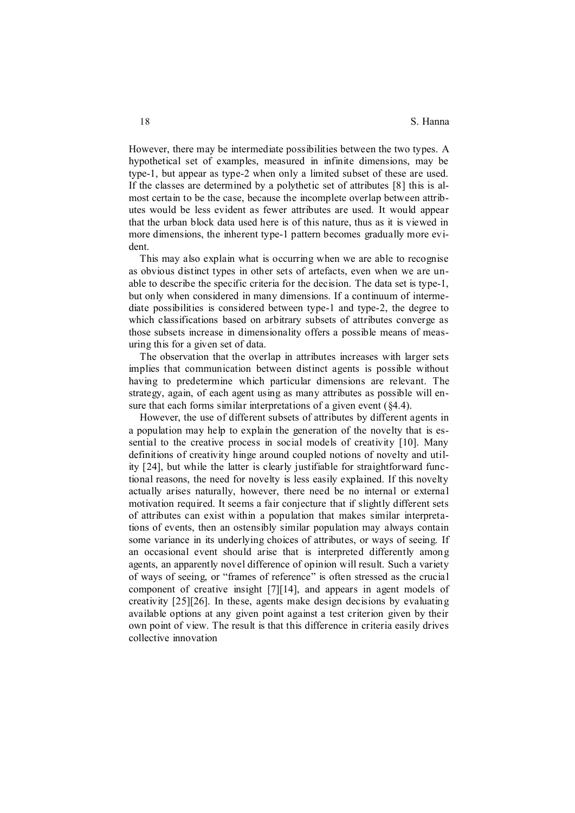However, there may be intermediate possibilities between the two types. A hypothetical set of examples, measured in infinite dimensions, may be type-1, but appear as type-2 when only a limited subset of these are used. If the classes are determined by a polythetic set of attributes [8] this is almost certain to be the case, because the incomplete overlap between attributes would be less evident as fewer attributes are used. It would appear that the urban block data used here is of this nature, thus as it is viewed in more dimensions, the inherent type-1 pattern becomes gradually more evident.

This may also explain what is occurring when we are able to recognise as obvious distinct types in other sets of artefacts, even when we are unable to describe the specific criteria for the decision. The data set is type-1, but only when considered in many dimensions. If a continuum of intermediate possibilities is considered between type-1 and type-2, the degree to which classifications based on arbitrary subsets of attributes converge as those subsets increase in dimensionality offers a possible means of measuring this for a given set of data.

The observation that the overlap in attributes increases with larger sets implies that communication between distinct agents is possible without having to predetermine which particular dimensions are relevant. The strategy, again, of each agent using as many attributes as possible will ensure that each forms similar interpretations of a given event (§4.4).

However, the use of different subsets of attributes by different agents in a population may help to explain the generation of the novelty that is essential to the creative process in social models of creativity [10]. Many definitions of creativity hinge around coupled notions of novelty and utility [24], but while the latter is clearly justifiable for straightforward functional reasons, the need for novelty is less easily explained. If this novelty actually arises naturally, however, there need be no internal or external motivation required. It seems a fair conjecture that if slightly different sets of attributes can exist within a population that makes similar interpretations of events, then an ostensibly similar population may always contain some variance in its underlying choices of attributes, or ways of seeing. If an occasional event should arise that is interpreted differently among agents, an apparently novel difference of opinion will result. Such a variety of ways of seeing, or "frames of reference" is often stressed as the crucial component of creative insight [7][14], and appears in agent models of creativity [25][26]. In these, agents make design decisions by evaluating available options at any given point against a test criterion given by their own point of view. The result is that this difference in criteria easily drives collective innovation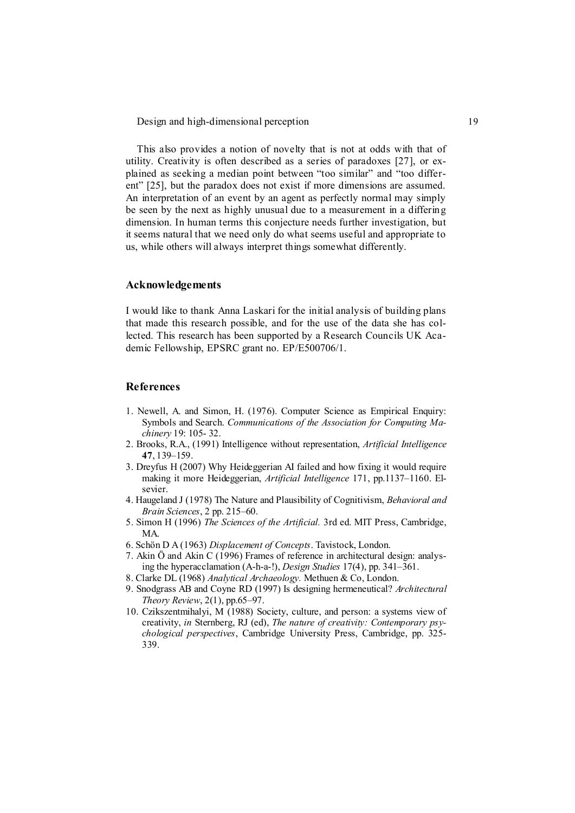This also provides a notion of novelty that is not at odds with that of utility. Creativity is often described as a series of paradoxes [27], or explained as seeking a median point between "too similar" and "too different" [25], but the paradox does not exist if more dimensions are assumed. An interpretation of an event by an agent as perfectly normal may simply be seen by the next as highly unusual due to a measurement in a differing dimension. In human terms this conjecture needs further investigation, but it seems natural that we need only do what seems useful and appropriate to us, while others will always interpret things somewhat differently.

#### **Acknowledgements**

I would like to thank Anna Laskari for the initial analysis of building plans that made this research possible, and for the use of the data she has collected. This research has been supported by a Research Councils UK Academic Fellowship, EPSRC grant no. EP/E500706/1.

#### **References**

- 1. Newell, A. and Simon, H. (1976). Computer Science as Empirical Enquiry: Symbols and Search. *Communications of the Association for Computing Machinery* 19: 105- 32.
- 2. Brooks, R.A., (1991) Intelligence without representation, *Artificial Intelligence*  **47**, 139–159.
- 3. Dreyfus H (2007) Why Heideggerian AI failed and how fixing it would require making it more Heideggerian, *Artificial Intelligence* 171, pp.1137–1160. Elsevier.
- 4. Haugeland J (1978) The Nature and Plausibility of Cognitivism, *Behavioral and Brain Sciences*, 2 pp. 215–60.
- 5. Simon H (1996) *The Sciences of the Artificial.* 3rd ed. MIT Press, Cambridge, MA.
- 6. Schön D A (1963) *Displacement of Concepts*. Tavistock, London.
- 7. Akin Ö and Akin C (1996) Frames of reference in architectural design: analysing the hyperacclamation (A-h-a-!), *Design Studies* 17(4), pp. 341–361.
- 8. Clarke DL (1968) *Analytical Archaeology.* Methuen & Co, London.
- 9. Snodgrass AB and Coyne RD (1997) Is designing hermeneutical? *Architectural Theory Review*, 2(1), pp.65–97.
- 10. Czikszentmihalyi, M (1988) Society, culture, and person: a systems view of creativity, *in* Sternberg, RJ (ed), *The nature of creativity: Contemporary psychological perspectives*, Cambridge University Press, Cambridge, pp. 325- 339.